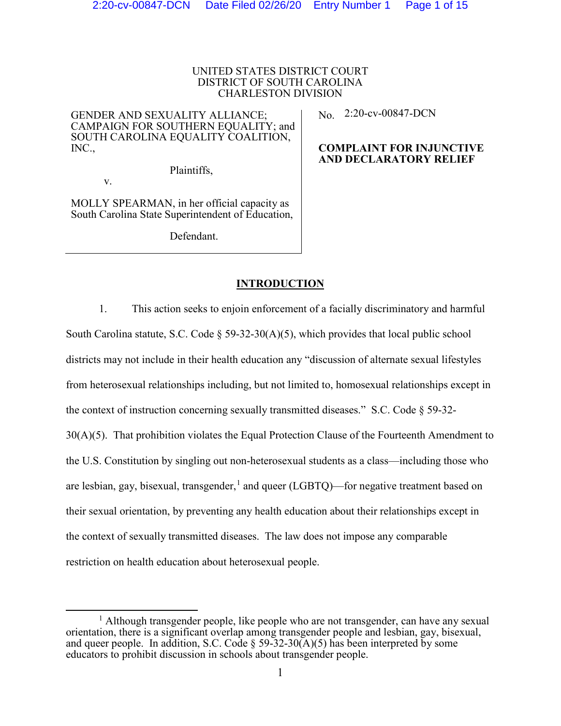# UNITED STATES DISTRICT COURT DISTRICT OF SOUTH CAROLINA CHARLESTON DIVISION

GENDER AND SEXUALITY ALLIANCE; CAMPAIGN FOR SOUTHERN EQUALITY; and SOUTH CAROLINA EQUALITY COALITION, INC.,

Plaintiffs,

MOLLY SPEARMAN, in her official capacity as South Carolina State Superintendent of Education,

v.

Defendant.

No. 2:20-cv-00847-DCN

# **COMPLAINT FOR INJUNCTIVE AND DECLARATORY RELIEF**

# **INTRODUCTION**

1. This action seeks to enjoin enforcement of a facially discriminatory and harmful South Carolina statute, S.C. Code  $\S 59-32-30(A)(5)$ , which provides that local public school districts may not include in their health education any "discussion of alternate sexual lifestyles from heterosexual relationships including, but not limited to, homosexual relationships except in the context of instruction concerning sexually transmitted diseases." S.C. Code § 59-32- 30(A)(5). That prohibition violates the Equal Protection Clause of the Fourteenth Amendment to the U.S. Constitution by singling out non-heterosexual students as a class—including those who are lesbian, gay, bisexual, transgender,  $\frac{1}{2}$  $\frac{1}{2}$  $\frac{1}{2}$  and queer (LGBTQ)—for negative treatment based on their sexual orientation, by preventing any health education about their relationships except in the context of sexually transmitted diseases. The law does not impose any comparable restriction on health education about heterosexual people.

<span id="page-0-0"></span><sup>&</sup>lt;sup>1</sup> Although transgender people, like people who are not transgender, can have any sexual orientation, there is a significant overlap among transgender people and lesbian, gay, bisexual, and queer people. In addition, S.C. Code  $\S 59-32-30(A)(5)$  has been interpreted by some educators to prohibit discussion in schools about transgender people.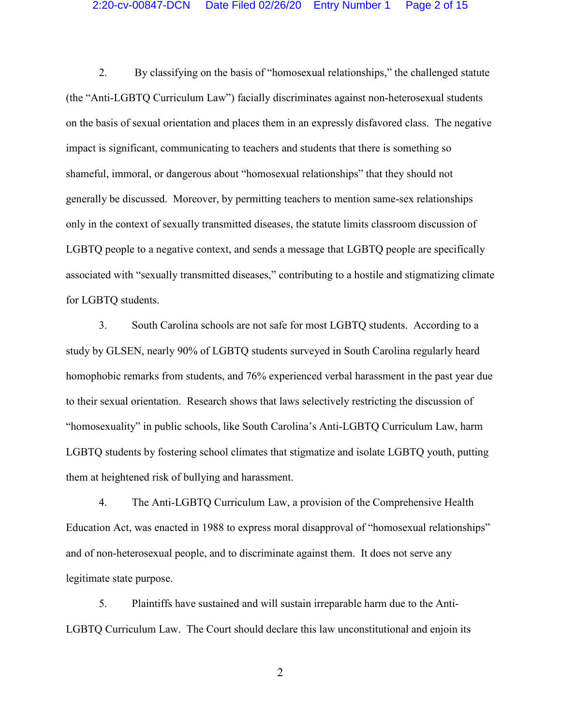## 2:20-cv-00847-DCN Date Filed 02/26/20 Entry Number 1 Page 2 of 15

2. By classifying on the basis of "homosexual relationships," the challenged statute (the "Anti-LGBTQ Curriculum Law") facially discriminates against non-heterosexual students on the basis of sexual orientation and places them in an expressly disfavored class. The negative impact is significant, communicating to teachers and students that there is something so shameful, immoral, or dangerous about "homosexual relationships" that they should not generally be discussed. Moreover, by permitting teachers to mention same-sex relationships only in the context of sexually transmitted diseases, the statute limits classroom discussion of LGBTQ people to a negative context, and sends a message that LGBTQ people are specifically associated with "sexually transmitted diseases," contributing to a hostile and stigmatizing climate for LGBTQ students.

3. South Carolina schools are not safe for most LGBTQ students. According to a study by GLSEN, nearly 90% of LGBTQ students surveyed in South Carolina regularly heard homophobic remarks from students, and 76% experienced verbal harassment in the past year due to their sexual orientation. Research shows that laws selectively restricting the discussion of "homosexuality" in public schools, like South Carolina's Anti-LGBTQ Curriculum Law, harm LGBTQ students by fostering school climates that stigmatize and isolate LGBTQ youth, putting them at heightened risk of bullying and harassment.

4. The Anti-LGBTQ Curriculum Law, a provision of the Comprehensive Health Education Act, was enacted in 1988 to express moral disapproval of "homosexual relationships" and of non-heterosexual people, and to discriminate against them. It does not serve any legitimate state purpose.

5. Plaintiffs have sustained and will sustain irreparable harm due to the Anti-LGBTQ Curriculum Law. The Court should declare this law unconstitutional and enjoin its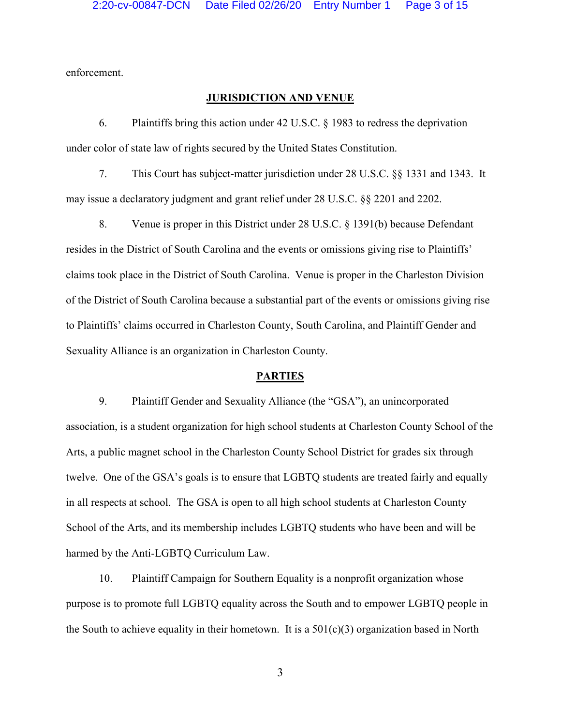enforcement.

# **JURISDICTION AND VENUE**

6. Plaintiffs bring this action under 42 U.S.C. § 1983 to redress the deprivation under color of state law of rights secured by the United States Constitution.

7. This Court has subject-matter jurisdiction under 28 U.S.C. §§ 1331 and 1343. It may issue a declaratory judgment and grant relief under 28 U.S.C. §§ 2201 and 2202.

8. Venue is proper in this District under 28 U.S.C. § 1391(b) because Defendant resides in the District of South Carolina and the events or omissions giving rise to Plaintiffs' claims took place in the District of South Carolina. Venue is proper in the Charleston Division of the District of South Carolina because a substantial part of the events or omissions giving rise to Plaintiffs' claims occurred in Charleston County, South Carolina, and Plaintiff Gender and Sexuality Alliance is an organization in Charleston County.

#### **PARTIES**

9. Plaintiff Gender and Sexuality Alliance (the "GSA"), an unincorporated association, is a student organization for high school students at Charleston County School of the Arts, a public magnet school in the Charleston County School District for grades six through twelve. One of the GSA's goals is to ensure that LGBTQ students are treated fairly and equally in all respects at school. The GSA is open to all high school students at Charleston County School of the Arts, and its membership includes LGBTQ students who have been and will be harmed by the Anti-LGBTQ Curriculum Law.

10. Plaintiff Campaign for Southern Equality is a nonprofit organization whose purpose is to promote full LGBTQ equality across the South and to empower LGBTQ people in the South to achieve equality in their hometown. It is a  $501(c)(3)$  organization based in North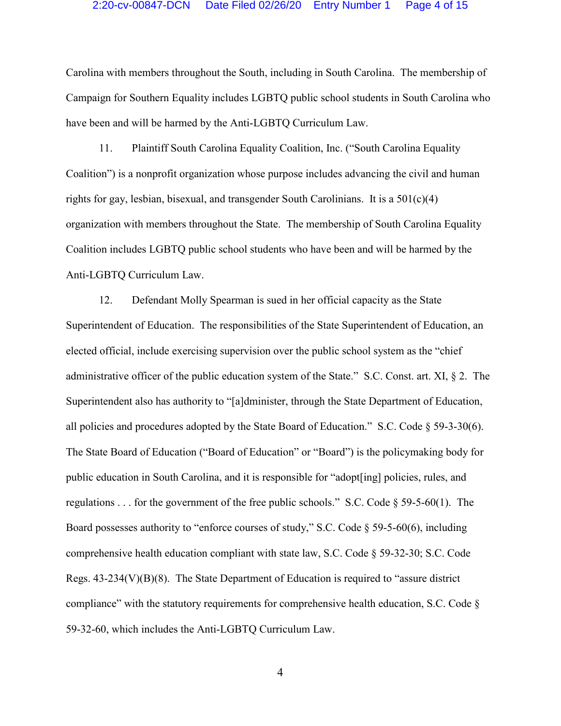Carolina with members throughout the South, including in South Carolina. The membership of Campaign for Southern Equality includes LGBTQ public school students in South Carolina who have been and will be harmed by the Anti-LGBTQ Curriculum Law.

11. Plaintiff South Carolina Equality Coalition, Inc. ("South Carolina Equality Coalition") is a nonprofit organization whose purpose includes advancing the civil and human rights for gay, lesbian, bisexual, and transgender South Carolinians. It is a  $501(c)(4)$ organization with members throughout the State. The membership of South Carolina Equality Coalition includes LGBTQ public school students who have been and will be harmed by the Anti-LGBTQ Curriculum Law.

12. Defendant Molly Spearman is sued in her official capacity as the State Superintendent of Education. The responsibilities of the State Superintendent of Education, an elected official, include exercising supervision over the public school system as the "chief administrative officer of the public education system of the State." S.C. Const. art. XI, § 2. The Superintendent also has authority to "[a]dminister, through the State Department of Education, all policies and procedures adopted by the State Board of Education." S.C. Code  $\S$  59-3-30(6). The State Board of Education ("Board of Education" or "Board") is the policymaking body for public education in South Carolina, and it is responsible for "adopt[ing] policies, rules, and regulations . . . for the government of the free public schools." S.C. Code  $\S$  59-5-60(1). The Board possesses authority to "enforce courses of study," S.C. Code  $\S$  59-5-60(6), including comprehensive health education compliant with state law, S.C. Code  $\S$  59-32-30; S.C. Code Regs.  $43-234(V)(B)(8)$ . The State Department of Education is required to "assure district" compliance" with the statutory requirements for comprehensive health education, S.C. Code § 59-32-60, which includes the Anti-LGBTQ Curriculum Law.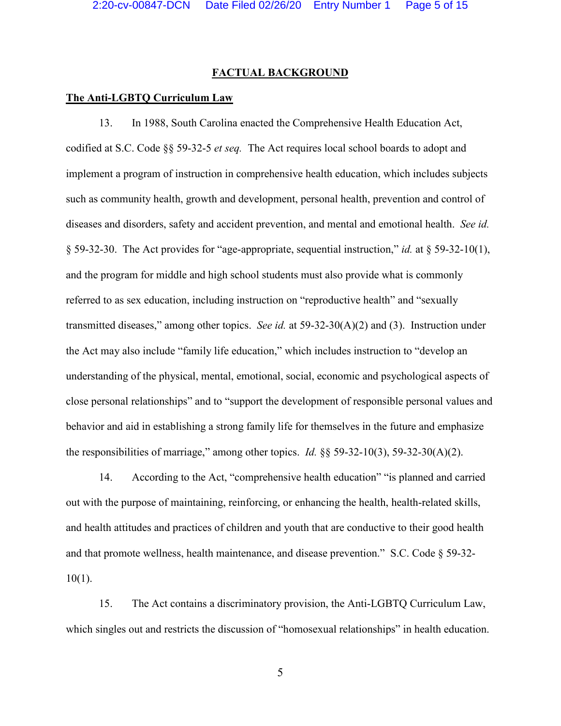#### **FACTUAL BACKGROUND**

## **The Anti-LGBTQ Curriculum Law**

13. In 1988, South Carolina enacted the Comprehensive Health Education Act, codified at S.C. Code §§ 59-32-5 *et seq.* The Act requires local school boards to adopt and implement a program of instruction in comprehensive health education, which includes subjects such as community health, growth and development, personal health, prevention and control of diseases and disorders, safety and accident prevention, and mental and emotional health. *See id.* § 59-32-30. The Act provides for "age-appropriate, sequential instruction," *id.* at § 59-32-10(1), and the program for middle and high school students must also provide what is commonly referred to as sex education, including instruction on "reproductive health" and "sexually transmitted diseases," among other topics. *See id.* at 59-32-30(A)(2) and (3). Instruction under the Act may also include "family life education," which includes instruction to "develop an understanding of the physical, mental, emotional, social, economic and psychological aspects of close personal relationships" and to "support the development of responsible personal values and behavior and aid in establishing a strong family life for themselves in the future and emphasize the responsibilities of marriage," among other topics. *Id.* §§ 59-32-10(3), 59-32-30(A)(2).

14. According to the Act, "comprehensive health education" "is planned and carried out with the purpose of maintaining, reinforcing, or enhancing the health, health-related skills, and health attitudes and practices of children and youth that are conductive to their good health and that promote wellness, health maintenance, and disease prevention." S.C. Code § 59-32- 10(1).

15. The Act contains a discriminatory provision, the Anti-LGBTQ Curriculum Law, which singles out and restricts the discussion of "homosexual relationships" in health education.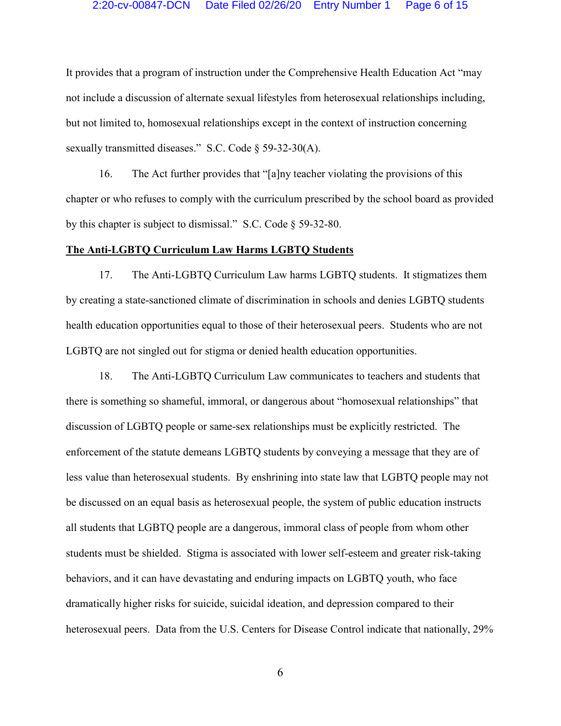## 2:20-cv-00847-DCN Date Filed 02/26/20 Entry Number 1 Page 6 of 15

It provides that a program of instruction under the Comprehensive Health Education Act "may not include a discussion of alternate sexual lifestyles from heterosexual relationships including, but not limited to, homosexual relationships except in the context of instruction concerning sexually transmitted diseases." S.C. Code § 59-32-30(A).

16. The Act further provides that "[a]ny teacher violating the provisions of this chapter or who refuses to comply with the curriculum prescribed by the school board as provided by this chapter is subject to dismissal." S.C. Code § 59-32-80.

#### **The Anti-LGBTQ Curriculum Law Harms LGBTQ Students**

17. The Anti-LGBTQ Curriculum Law harms LGBTQ students. It stigmatizes them by creating a state-sanctioned climate of discrimination in schools and denies LGBTQ students health education opportunities equal to those of their heterosexual peers. Students who are not LGBTQ are not singled out for stigma or denied health education opportunities.

18. The Anti-LGBTQ Curriculum Law communicates to teachers and students that there is something so shameful, immoral, or dangerous about "homosexual relationships" that discussion of LGBTQ people or same-sex relationships must be explicitly restricted. The enforcement of the statute demeans LGBTQ students by conveying a message that they are of less value than heterosexual students. By enshrining into state law that LGBTQ people may not be discussed on an equal basis as heterosexual people, the system of public education instructs all students that LGBTQ people are a dangerous, immoral class of people from whom other students must be shielded. Stigma is associated with lower self-esteem and greater risk-taking behaviors, and it can have devastating and enduring impacts on LGBTQ youth, who face dramatically higher risks for suicide, suicidal ideation, and depression compared to their heterosexual peers. Data from the U.S. Centers for Disease Control indicate that nationally, 29%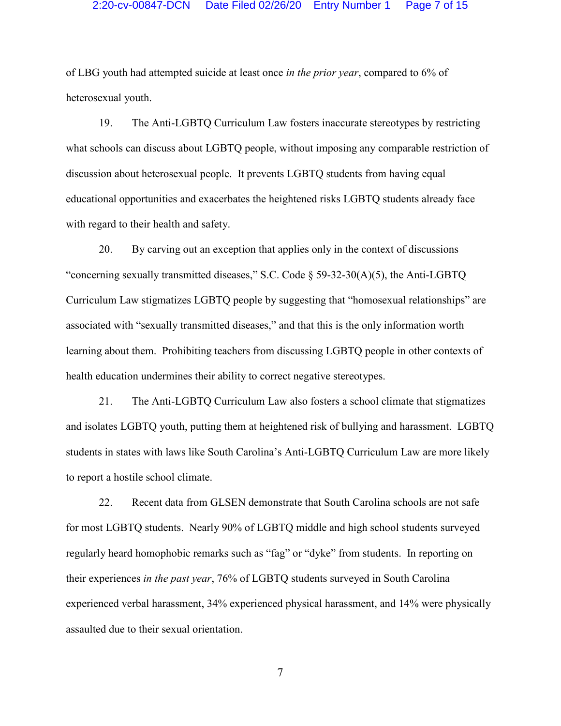of LBG youth had attempted suicide at least once *in the prior year*, compared to 6% of heterosexual youth.

19. The Anti-LGBTQ Curriculum Law fosters inaccurate stereotypes by restricting what schools can discuss about LGBTQ people, without imposing any comparable restriction of discussion about heterosexual people. It prevents LGBTQ students from having equal educational opportunities and exacerbates the heightened risks LGBTQ students already face with regard to their health and safety.

20. By carving out an exception that applies only in the context of discussions "concerning sexually transmitted diseases," S.C. Code § 59-32-30(A)(5), the Anti-LGBTQ Curriculum Law stigmatizes LGBTQ people by suggesting that "homosexual relationships" are associated with "sexually transmitted diseases," and that this is the only information worth learning about them. Prohibiting teachers from discussing LGBTQ people in other contexts of health education undermines their ability to correct negative stereotypes.

21. The Anti-LGBTQ Curriculum Law also fosters a school climate that stigmatizes and isolates LGBTQ youth, putting them at heightened risk of bullying and harassment. LGBTQ students in states with laws like South Carolina's Anti-LGBTQ Curriculum Law are more likely to report a hostile school climate.

22. Recent data from GLSEN demonstrate that South Carolina schools are not safe for most LGBTQ students. Nearly 90% of LGBTQ middle and high school students surveyed regularly heard homophobic remarks such as "fag" or "dyke" from students. In reporting on their experiences *in the past year*, 76% of LGBTQ students surveyed in South Carolina experienced verbal harassment, 34% experienced physical harassment, and 14% were physically assaulted due to their sexual orientation.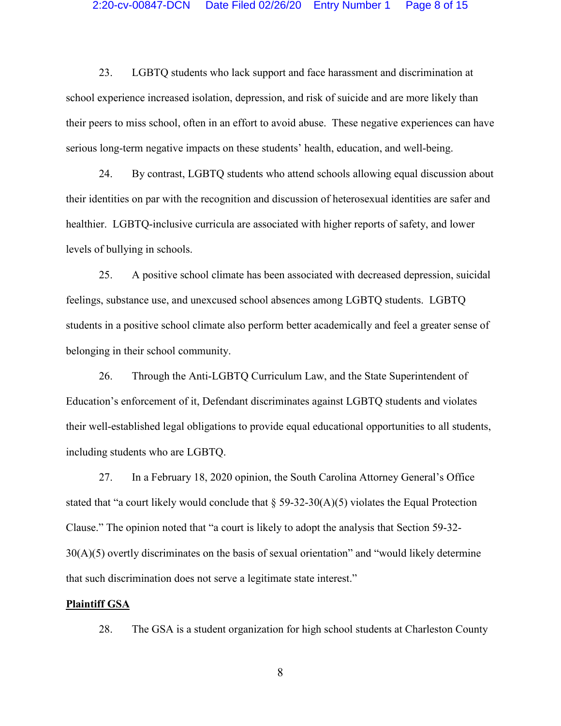## 2:20-cv-00847-DCN Date Filed 02/26/20 Entry Number 1 Page 8 of 15

23. LGBTQ students who lack support and face harassment and discrimination at school experience increased isolation, depression, and risk of suicide and are more likely than their peers to miss school, often in an effort to avoid abuse. These negative experiences can have serious long-term negative impacts on these students' health, education, and well-being.

24. By contrast, LGBTQ students who attend schools allowing equal discussion about their identities on par with the recognition and discussion of heterosexual identities are safer and healthier. LGBTQ-inclusive curricula are associated with higher reports of safety, and lower levels of bullying in schools.

25. A positive school climate has been associated with decreased depression, suicidal feelings, substance use, and unexcused school absences among LGBTQ students. LGBTQ students in a positive school climate also perform better academically and feel a greater sense of belonging in their school community.

26. Through the Anti-LGBTQ Curriculum Law, and the State Superintendent of Education's enforcement of it, Defendant discriminates against LGBTQ students and violates their well-established legal obligations to provide equal educational opportunities to all students, including students who are LGBTQ.

27. In a February 18, 2020 opinion, the South Carolina Attorney General's Office stated that "a court likely would conclude that  $\S 59-32-30(A)(5)$  violates the Equal Protection Clause." The opinion noted that "a court is likely to adopt the analysis that Section 59-32- 30(A)(5) overtly discriminates on the basis of sexual orientation" and "would likely determine that such discrimination does not serve a legitimate state interest."

#### **Plaintiff GSA**

28. The GSA is a student organization for high school students at Charleston County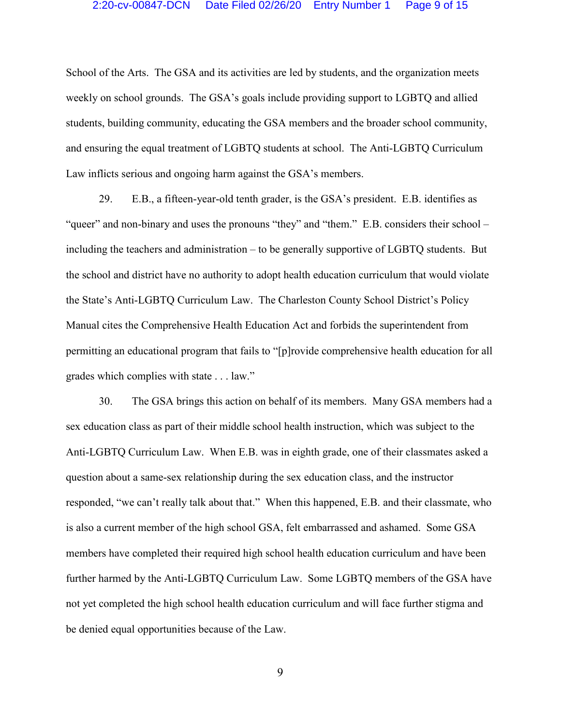#### 2:20-cv-00847-DCN Date Filed 02/26/20 Entry Number 1 Page 9 of 15

School of the Arts. The GSA and its activities are led by students, and the organization meets weekly on school grounds. The GSA's goals include providing support to LGBTQ and allied students, building community, educating the GSA members and the broader school community, and ensuring the equal treatment of LGBTQ students at school. The Anti-LGBTQ Curriculum Law inflicts serious and ongoing harm against the GSA's members.

29. E.B., a fifteen-year-old tenth grader, is the GSA's president. E.B. identifies as "queer" and non-binary and uses the pronouns "they" and "them." E.B. considers their school – including the teachers and administration – to be generally supportive of LGBTQ students. But the school and district have no authority to adopt health education curriculum that would violate the State's Anti-LGBTQ Curriculum Law. The Charleston County School District's Policy Manual cites the Comprehensive Health Education Act and forbids the superintendent from permitting an educational program that fails to "[p]rovide comprehensive health education for all grades which complies with state . . . law."

30. The GSA brings this action on behalf of its members. Many GSA members had a sex education class as part of their middle school health instruction, which was subject to the Anti-LGBTQ Curriculum Law. When E.B. was in eighth grade, one of their classmates asked a question about a same-sex relationship during the sex education class, and the instructor responded, "we can't really talk about that." When this happened, E.B. and their classmate, who is also a current member of the high school GSA, felt embarrassed and ashamed. Some GSA members have completed their required high school health education curriculum and have been further harmed by the Anti-LGBTQ Curriculum Law. Some LGBTQ members of the GSA have not yet completed the high school health education curriculum and will face further stigma and be denied equal opportunities because of the Law.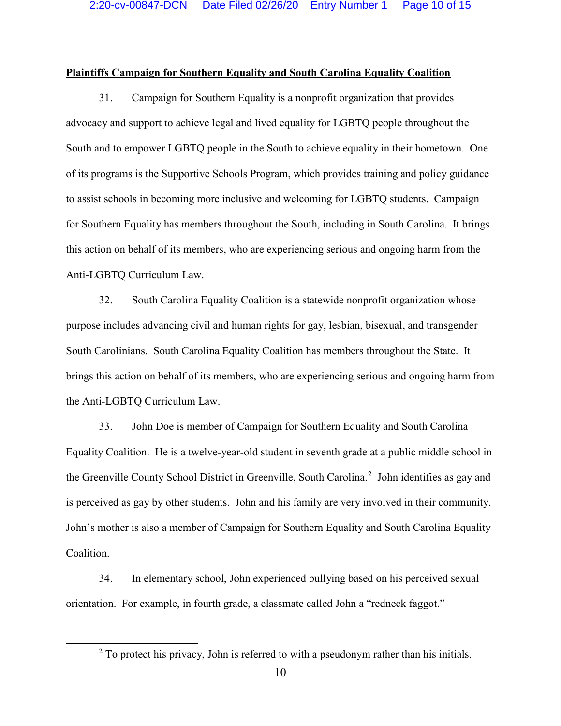## **Plaintiffs Campaign for Southern Equality and South Carolina Equality Coalition**

31. Campaign for Southern Equality is a nonprofit organization that provides advocacy and support to achieve legal and lived equality for LGBTQ people throughout the South and to empower LGBTQ people in the South to achieve equality in their hometown. One of its programs is the Supportive Schools Program, which provides training and policy guidance to assist schools in becoming more inclusive and welcoming for LGBTQ students. Campaign for Southern Equality has members throughout the South, including in South Carolina. It brings this action on behalf of its members, who are experiencing serious and ongoing harm from the Anti-LGBTQ Curriculum Law.

32. South Carolina Equality Coalition is a statewide nonprofit organization whose purpose includes advancing civil and human rights for gay, lesbian, bisexual, and transgender South Carolinians. South Carolina Equality Coalition has members throughout the State. It brings this action on behalf of its members, who are experiencing serious and ongoing harm from the Anti-LGBTQ Curriculum Law.

33. John Doe is member of Campaign for Southern Equality and South Carolina Equality Coalition. He is a twelve-year-old student in seventh grade at a public middle school in the Greenville County School District in Greenville, South Carolina.<sup>[2](#page-9-0)</sup> John identifies as gay and is perceived as gay by other students. John and his family are very involved in their community. John's mother is also a member of Campaign for Southern Equality and South Carolina Equality Coalition.

34. In elementary school, John experienced bullying based on his perceived sexual orientation. For example, in fourth grade, a classmate called John a "redneck faggot."

<span id="page-9-0"></span> $2^2$  To protect his privacy, John is referred to with a pseudonym rather than his initials.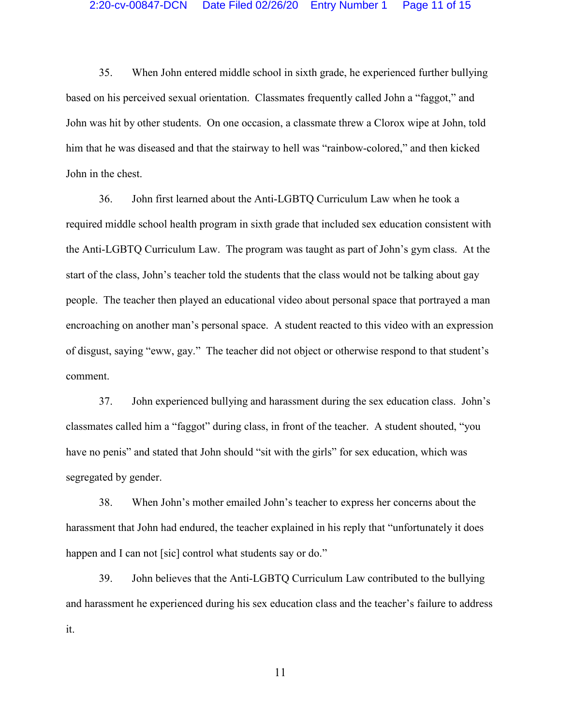35. When John entered middle school in sixth grade, he experienced further bullying based on his perceived sexual orientation. Classmates frequently called John a "faggot," and John was hit by other students. On one occasion, a classmate threw a Clorox wipe at John, told him that he was diseased and that the stairway to hell was "rainbow-colored," and then kicked John in the chest.

36. John first learned about the Anti-LGBTQ Curriculum Law when he took a required middle school health program in sixth grade that included sex education consistent with the Anti-LGBTQ Curriculum Law. The program was taught as part of John's gym class. At the start of the class, John's teacher told the students that the class would not be talking about gay people. The teacher then played an educational video about personal space that portrayed a man encroaching on another man's personal space. A student reacted to this video with an expression of disgust, saying "eww, gay." The teacher did not object or otherwise respond to that student's comment.

37. John experienced bullying and harassment during the sex education class. John's classmates called him a "faggot" during class, in front of the teacher. A student shouted, "you have no penis" and stated that John should "sit with the girls" for sex education, which was segregated by gender.

38. When John's mother emailed John's teacher to express her concerns about the harassment that John had endured, the teacher explained in his reply that "unfortunately it does happen and I can not [sic] control what students say or do."

39. John believes that the Anti-LGBTQ Curriculum Law contributed to the bullying and harassment he experienced during his sex education class and the teacher's failure to address it.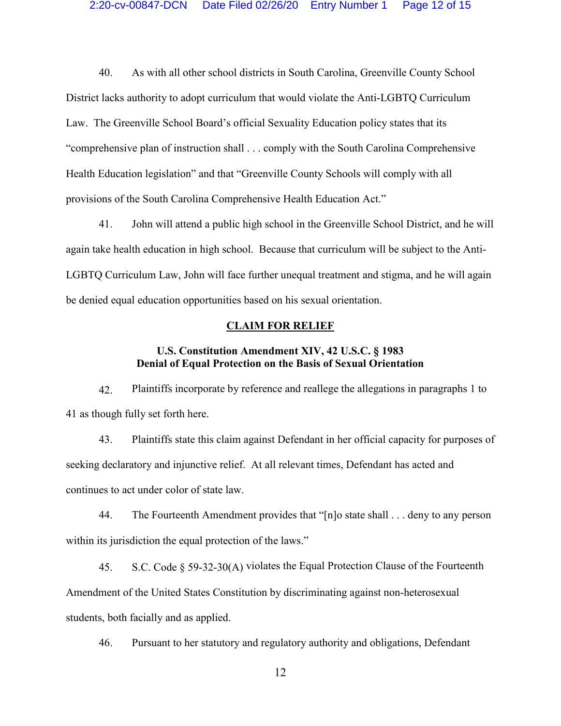40. As with all other school districts in South Carolina, Greenville County School District lacks authority to adopt curriculum that would violate the Anti-LGBTQ Curriculum Law. The Greenville School Board's official Sexuality Education policy states that its "comprehensive plan of instruction shall . . . comply with the South Carolina Comprehensive Health Education legislation" and that "Greenville County Schools will comply with all provisions of the South Carolina Comprehensive Health Education Act."

41. John will attend a public high school in the Greenville School District, and he will again take health education in high school. Because that curriculum will be subject to the Anti-LGBTQ Curriculum Law, John will face further unequal treatment and stigma, and he will again be denied equal education opportunities based on his sexual orientation.

### **CLAIM FOR RELIEF**

# **U.S. Constitution Amendment XIV, 42 U.S.C. § 1983 Denial of Equal Protection on the Basis of Sexual Orientation**

42. Plaintiffs incorporate by reference and reallege the allegations in paragraphs 1 to 41 as though fully set forth here.

43. Plaintiffs state this claim against Defendant in her official capacity for purposes of seeking declaratory and injunctive relief. At all relevant times, Defendant has acted and continues to act under color of state law.

44. The Fourteenth Amendment provides that "[n]o state shall . . . deny to any person within its jurisdiction the equal protection of the laws."

45. S.C. Code § 59-32-30(A) violates the Equal Protection Clause of the Fourteenth Amendment of the United States Constitution by discriminating against non-heterosexual students, both facially and as applied.

46. Pursuant to her statutory and regulatory authority and obligations, Defendant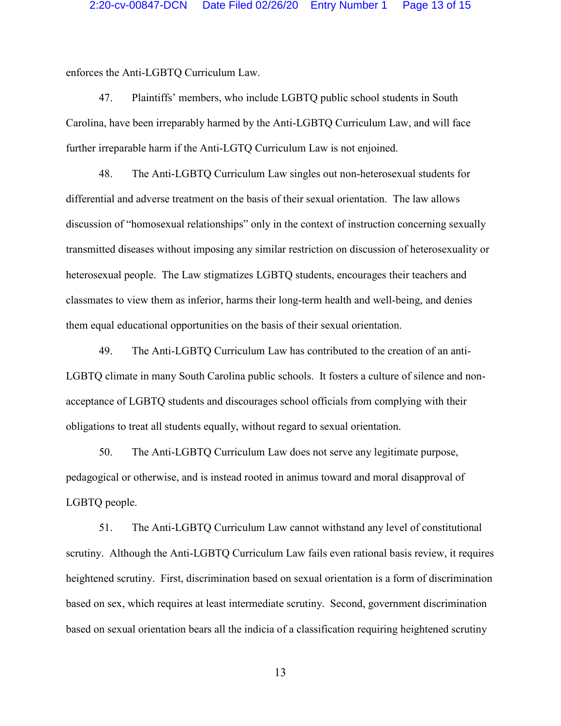enforces the Anti-LGBTQ Curriculum Law.

47. Plaintiffs' members, who include LGBTQ public school students in South Carolina, have been irreparably harmed by the Anti-LGBTQ Curriculum Law, and will face further irreparable harm if the Anti-LGTQ Curriculum Law is not enjoined.

48. The Anti-LGBTQ Curriculum Law singles out non-heterosexual students for differential and adverse treatment on the basis of their sexual orientation. The law allows discussion of "homosexual relationships" only in the context of instruction concerning sexually transmitted diseases without imposing any similar restriction on discussion of heterosexuality or heterosexual people. The Law stigmatizes LGBTQ students, encourages their teachers and classmates to view them as inferior, harms their long-term health and well-being, and denies them equal educational opportunities on the basis of their sexual orientation.

49. The Anti-LGBTQ Curriculum Law has contributed to the creation of an anti-LGBTQ climate in many South Carolina public schools. It fosters a culture of silence and nonacceptance of LGBTQ students and discourages school officials from complying with their obligations to treat all students equally, without regard to sexual orientation.

50. The Anti-LGBTQ Curriculum Law does not serve any legitimate purpose, pedagogical or otherwise, and is instead rooted in animus toward and moral disapproval of LGBTQ people.

51. The Anti-LGBTQ Curriculum Law cannot withstand any level of constitutional scrutiny. Although the Anti-LGBTQ Curriculum Law fails even rational basis review, it requires heightened scrutiny. First, discrimination based on sexual orientation is a form of discrimination based on sex, which requires at least intermediate scrutiny. Second, government discrimination based on sexual orientation bears all the indicia of a classification requiring heightened scrutiny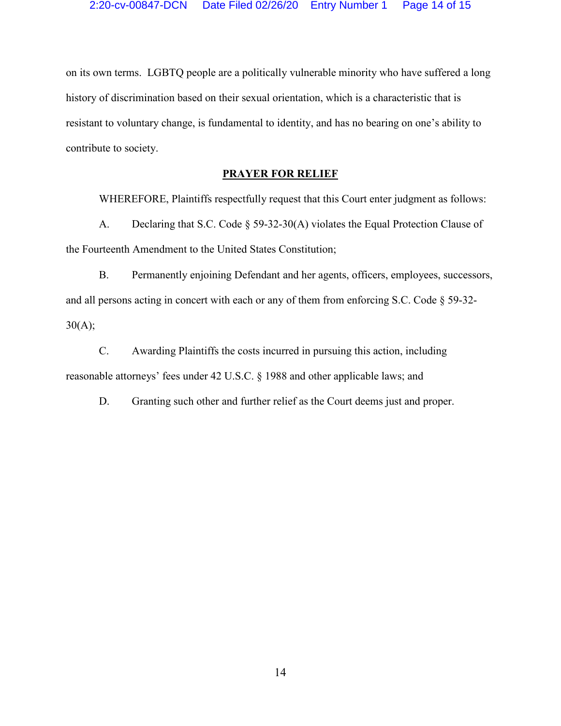on its own terms. LGBTQ people are a politically vulnerable minority who have suffered a long history of discrimination based on their sexual orientation, which is a characteristic that is resistant to voluntary change, is fundamental to identity, and has no bearing on one's ability to contribute to society.

# **PRAYER FOR RELIEF**

WHEREFORE, Plaintiffs respectfully request that this Court enter judgment as follows:

A. Declaring that S.C. Code § 59-32-30(A) violates the Equal Protection Clause of the Fourteenth Amendment to the United States Constitution;

B. Permanently enjoining Defendant and her agents, officers, employees, successors, and all persons acting in concert with each or any of them from enforcing S.C. Code § 59-32-  $30(A);$ 

C. Awarding Plaintiffs the costs incurred in pursuing this action, including reasonable attorneys' fees under 42 U.S.C. § 1988 and other applicable laws; and

D. Granting such other and further relief as the Court deems just and proper.